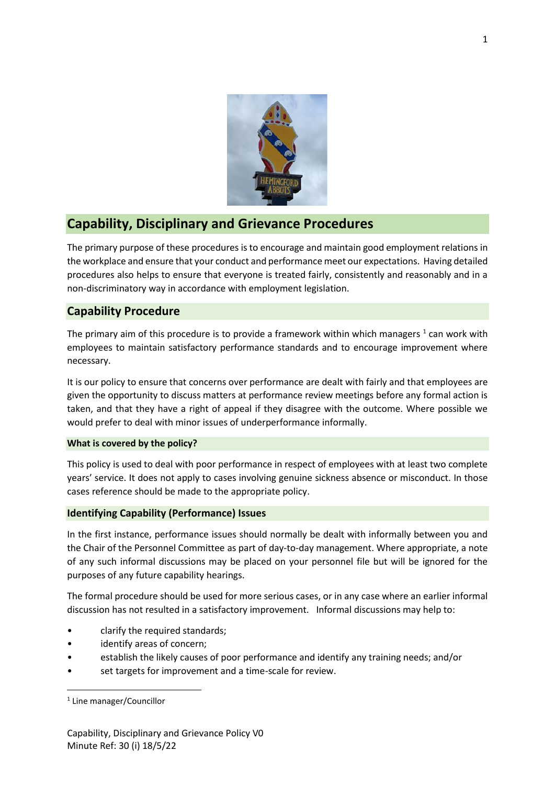

# **Capability, Disciplinary and Grievance Procedures**

The primary purpose of these procedures is to encourage and maintain good employment relations in the workplace and ensure that your conduct and performance meet our expectations. Having detailed procedures also helps to ensure that everyone is treated fairly, consistently and reasonably and in a non-discriminatory way in accordance with employment legislation.

## **Capability Procedure**

The primary aim of this procedure is to provide a framework within which managers  $^1$  can work with employees to maintain satisfactory performance standards and to encourage improvement where necessary.

It is our policy to ensure that concerns over performance are dealt with fairly and that employees are given the opportunity to discuss matters at performance review meetings before any formal action is taken, and that they have a right of appeal if they disagree with the outcome. Where possible we would prefer to deal with minor issues of underperformance informally.

#### **What is covered by the policy?**

This policy is used to deal with poor performance in respect of employees with at least two complete years' service. It does not apply to cases involving genuine sickness absence or misconduct. In those cases reference should be made to the appropriate policy.

## **Identifying Capability (Performance) Issues**

In the first instance, performance issues should normally be dealt with informally between you and the Chair of the Personnel Committee as part of day-to-day management. Where appropriate, a note of any such informal discussions may be placed on your personnel file but will be ignored for the purposes of any future capability hearings.

The formal procedure should be used for more serious cases, or in any case where an earlier informal discussion has not resulted in a satisfactory improvement. Informal discussions may help to:

- clarify the required standards;
- identify areas of concern;
- establish the likely causes of poor performance and identify any training needs; and/or
- set targets for improvement and a time-scale for review.

<sup>1</sup> Line manager/Councillor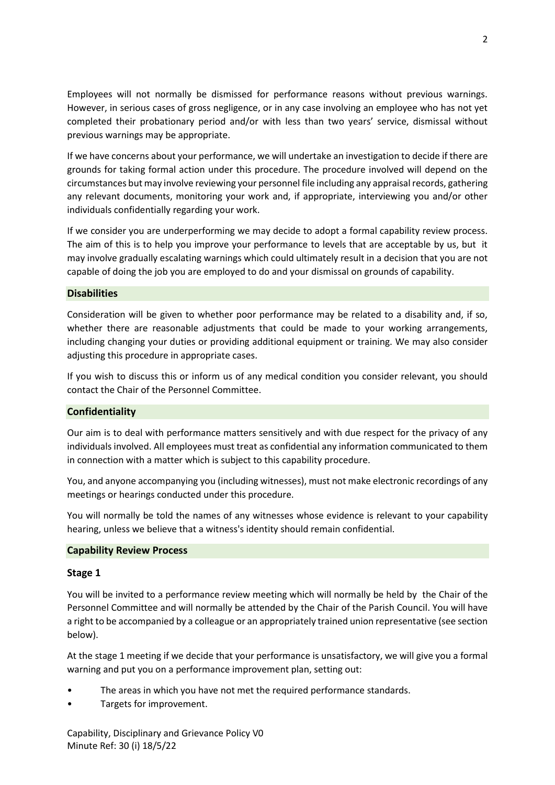Employees will not normally be dismissed for performance reasons without previous warnings. However, in serious cases of gross negligence, or in any case involving an employee who has not yet completed their probationary period and/or with less than two years' service, dismissal without previous warnings may be appropriate.

If we have concerns about your performance, we will undertake an investigation to decide if there are grounds for taking formal action under this procedure. The procedure involved will depend on the circumstances but may involve reviewing your personnel file including any appraisal records, gathering any relevant documents, monitoring your work and, if appropriate, interviewing you and/or other individuals confidentially regarding your work.

If we consider you are underperforming we may decide to adopt a formal capability review process. The aim of this is to help you improve your performance to levels that are acceptable by us, but it may involve gradually escalating warnings which could ultimately result in a decision that you are not capable of doing the job you are employed to do and your dismissal on grounds of capability.

#### **Disabilities**

Consideration will be given to whether poor performance may be related to a disability and, if so, whether there are reasonable adjustments that could be made to your working arrangements, including changing your duties or providing additional equipment or training. We may also consider adjusting this procedure in appropriate cases.

If you wish to discuss this or inform us of any medical condition you consider relevant, you should contact the Chair of the Personnel Committee.

#### **Confidentiality**

Our aim is to deal with performance matters sensitively and with due respect for the privacy of any individuals involved. All employees must treat as confidential any information communicated to them in connection with a matter which is subject to this capability procedure.

You, and anyone accompanying you (including witnesses), must not make electronic recordings of any meetings or hearings conducted under this procedure.

You will normally be told the names of any witnesses whose evidence is relevant to your capability hearing, unless we believe that a witness's identity should remain confidential.

#### **Capability Review Process**

#### **Stage 1**

You will be invited to a performance review meeting which will normally be held by the Chair of the Personnel Committee and will normally be attended by the Chair of the Parish Council. You will have a right to be accompanied by a colleague or an appropriately trained union representative (see section below).

At the stage 1 meeting if we decide that your performance is unsatisfactory, we will give you a formal warning and put you on a performance improvement plan, setting out:

- The areas in which you have not met the required performance standards.
- Targets for improvement.

Capability, Disciplinary and Grievance Policy V0 Minute Ref: 30 (i) 18/5/22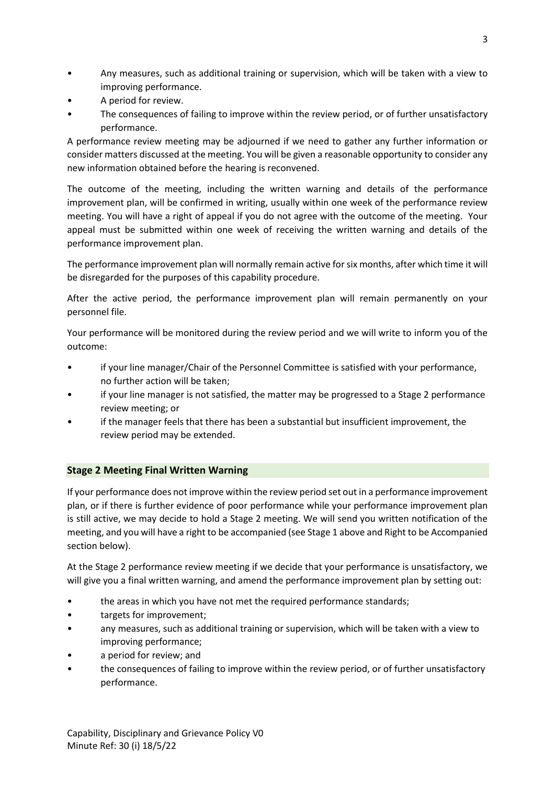- Any measures, such as additional training or supervision, which will be taken with a view to improving performance.
- A period for review.
- The consequences of failing to improve within the review period, or of further unsatisfactory performance.

A performance review meeting may be adjourned if we need to gather any further information or consider matters discussed at the meeting. You will be given a reasonable opportunity to consider any new information obtained before the hearing is reconvened.

The outcome of the meeting, including the written warning and details of the performance improvement plan, will be confirmed in writing, usually within one week of the performance review meeting. You will have a right of appeal if you do not agree with the outcome of the meeting. Your appeal must be submitted within one week of receiving the written warning and details of the performance improvement plan.

The performance improvement plan will normally remain active for six months, after which time it will be disregarded for the purposes of this capability procedure.

After the active period, the performance improvement plan will remain permanently on your personnel file.

Your performance will be monitored during the review period and we will write to inform you of the outcome:

- if your line manager/Chair of the Personnel Committee is satisfied with your performance, no further action will be taken;
- if your line manager is not satisfied, the matter may be progressed to a Stage 2 performance review meeting; or
- if the manager feels that there has been a substantial but insufficient improvement, the review period may be extended.

## **Stage 2 Meeting Final Written Warning**

If your performance does not improve within the review period set out in a performance improvement plan, or if there is further evidence of poor performance while your performance improvement plan is still active, we may decide to hold a Stage 2 meeting. We will send you written notification of the meeting, and you will have a right to be accompanied (see Stage 1 above and Right to be Accompanied section below).

At the Stage 2 performance review meeting if we decide that your performance is unsatisfactory, we will give you a final written warning, and amend the performance improvement plan by setting out:

- the areas in which you have not met the required performance standards;
- targets for improvement;
- any measures, such as additional training or supervision, which will be taken with a view to improving performance;
- a period for review; and
- the consequences of failing to improve within the review period, or of further unsatisfactory performance.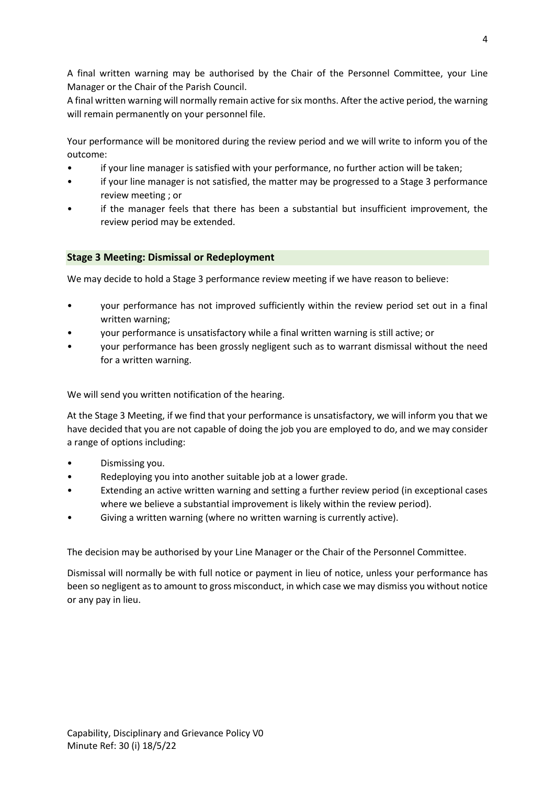A final written warning may be authorised by the Chair of the Personnel Committee, your Line Manager or the Chair of the Parish Council.

A final written warning will normally remain active for six months. After the active period, the warning will remain permanently on your personnel file.

Your performance will be monitored during the review period and we will write to inform you of the outcome:

- if your line manager is satisfied with your performance, no further action will be taken;
- if your line manager is not satisfied, the matter may be progressed to a Stage 3 performance review meeting ; or
- if the manager feels that there has been a substantial but insufficient improvement, the review period may be extended.

## **Stage 3 Meeting: Dismissal or Redeployment**

We may decide to hold a Stage 3 performance review meeting if we have reason to believe:

- your performance has not improved sufficiently within the review period set out in a final written warning;
- your performance is unsatisfactory while a final written warning is still active; or
- your performance has been grossly negligent such as to warrant dismissal without the need for a written warning.

We will send you written notification of the hearing.

At the Stage 3 Meeting, if we find that your performance is unsatisfactory, we will inform you that we have decided that you are not capable of doing the job you are employed to do, and we may consider a range of options including:

- Dismissing you.
- Redeploying you into another suitable job at a lower grade.
- Extending an active written warning and setting a further review period (in exceptional cases where we believe a substantial improvement is likely within the review period).
- Giving a written warning (where no written warning is currently active).

The decision may be authorised by your Line Manager or the Chair of the Personnel Committee.

Dismissal will normally be with full notice or payment in lieu of notice, unless your performance has been so negligent as to amount to gross misconduct, in which case we may dismiss you without notice or any pay in lieu.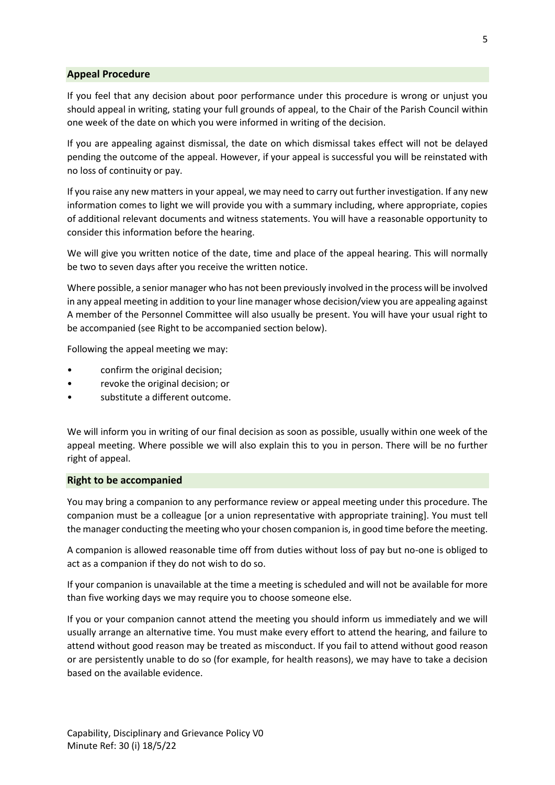#### **Appeal Procedure**

If you feel that any decision about poor performance under this procedure is wrong or unjust you should appeal in writing, stating your full grounds of appeal, to the Chair of the Parish Council within one week of the date on which you were informed in writing of the decision.

If you are appealing against dismissal, the date on which dismissal takes effect will not be delayed pending the outcome of the appeal. However, if your appeal is successful you will be reinstated with no loss of continuity or pay.

If you raise any new matters in your appeal, we may need to carry out further investigation. If any new information comes to light we will provide you with a summary including, where appropriate, copies of additional relevant documents and witness statements. You will have a reasonable opportunity to consider this information before the hearing.

We will give you written notice of the date, time and place of the appeal hearing. This will normally be two to seven days after you receive the written notice.

Where possible, a senior manager who has not been previously involved in the process will be involved in any appeal meeting in addition to your line manager whose decision/view you are appealing against A member of the Personnel Committee will also usually be present. You will have your usual right to be accompanied (see Right to be accompanied section below).

Following the appeal meeting we may:

- confirm the original decision;
- revoke the original decision; or
- substitute a different outcome.

We will inform you in writing of our final decision as soon as possible, usually within one week of the appeal meeting. Where possible we will also explain this to you in person. There will be no further right of appeal.

#### **Right to be accompanied**

Minute Ref: 30 (i) 18/5/22

You may bring a companion to any performance review or appeal meeting under this procedure. The companion must be a colleague [or a union representative with appropriate training]. You must tell the manager conducting the meeting who your chosen companion is, in good time before the meeting.

A companion is allowed reasonable time off from duties without loss of pay but no-one is obliged to act as a companion if they do not wish to do so.

If your companion is unavailable at the time a meeting is scheduled and will not be available for more than five working days we may require you to choose someone else.

If you or your companion cannot attend the meeting you should inform us immediately and we will usually arrange an alternative time. You must make every effort to attend the hearing, and failure to attend without good reason may be treated as misconduct. If you fail to attend without good reason or are persistently unable to do so (for example, for health reasons), we may have to take a decision based on the available evidence.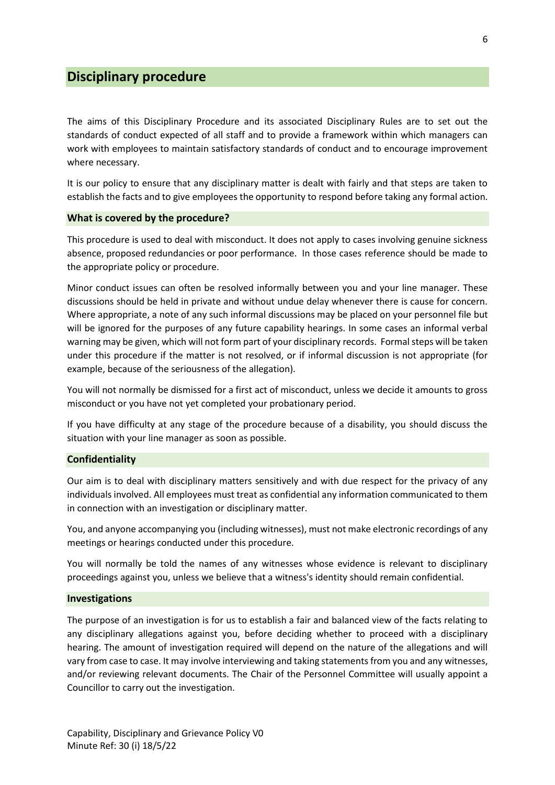## **Disciplinary procedure**

The aims of this Disciplinary Procedure and its associated Disciplinary Rules are to set out the standards of conduct expected of all staff and to provide a framework within which managers can work with employees to maintain satisfactory standards of conduct and to encourage improvement where necessary.

It is our policy to ensure that any disciplinary matter is dealt with fairly and that steps are taken to establish the facts and to give employees the opportunity to respond before taking any formal action.

#### **What is covered by the procedure?**

This procedure is used to deal with misconduct. It does not apply to cases involving genuine sickness absence, proposed redundancies or poor performance. In those cases reference should be made to the appropriate policy or procedure.

Minor conduct issues can often be resolved informally between you and your line manager. These discussions should be held in private and without undue delay whenever there is cause for concern. Where appropriate, a note of any such informal discussions may be placed on your personnel file but will be ignored for the purposes of any future capability hearings. In some cases an informal verbal warning may be given, which will not form part of your disciplinary records. Formal steps will be taken under this procedure if the matter is not resolved, or if informal discussion is not appropriate (for example, because of the seriousness of the allegation).

You will not normally be dismissed for a first act of misconduct, unless we decide it amounts to gross misconduct or you have not yet completed your probationary period.

If you have difficulty at any stage of the procedure because of a disability, you should discuss the situation with your line manager as soon as possible.

#### **Confidentiality**

Our aim is to deal with disciplinary matters sensitively and with due respect for the privacy of any individuals involved. All employees must treat as confidential any information communicated to them in connection with an investigation or disciplinary matter.

You, and anyone accompanying you (including witnesses), must not make electronic recordings of any meetings or hearings conducted under this procedure.

You will normally be told the names of any witnesses whose evidence is relevant to disciplinary proceedings against you, unless we believe that a witness's identity should remain confidential.

#### **Investigations**

The purpose of an investigation is for us to establish a fair and balanced view of the facts relating to any disciplinary allegations against you, before deciding whether to proceed with a disciplinary hearing. The amount of investigation required will depend on the nature of the allegations and will vary from case to case. It may involve interviewing and taking statements from you and any witnesses, and/or reviewing relevant documents. The Chair of the Personnel Committee will usually appoint a Councillor to carry out the investigation.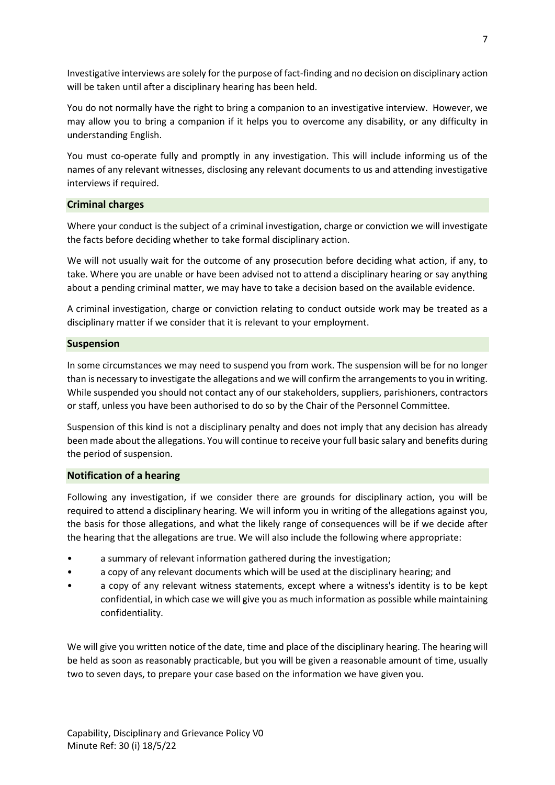Investigative interviews are solely for the purpose of fact-finding and no decision on disciplinary action will be taken until after a disciplinary hearing has been held.

You do not normally have the right to bring a companion to an investigative interview. However, we may allow you to bring a companion if it helps you to overcome any disability, or any difficulty in understanding English.

You must co-operate fully and promptly in any investigation. This will include informing us of the names of any relevant witnesses, disclosing any relevant documents to us and attending investigative interviews if required.

### **Criminal charges**

Where your conduct is the subject of a criminal investigation, charge or conviction we will investigate the facts before deciding whether to take formal disciplinary action.

We will not usually wait for the outcome of any prosecution before deciding what action, if any, to take. Where you are unable or have been advised not to attend a disciplinary hearing or say anything about a pending criminal matter, we may have to take a decision based on the available evidence.

A criminal investigation, charge or conviction relating to conduct outside work may be treated as a disciplinary matter if we consider that it is relevant to your employment.

#### **Suspension**

In some circumstances we may need to suspend you from work. The suspension will be for no longer than is necessary to investigate the allegations and we will confirm the arrangements to you in writing. While suspended you should not contact any of our stakeholders, suppliers, parishioners, contractors or staff, unless you have been authorised to do so by the Chair of the Personnel Committee.

Suspension of this kind is not a disciplinary penalty and does not imply that any decision has already been made about the allegations. You will continue to receive your full basic salary and benefits during the period of suspension.

#### **Notification of a hearing**

Following any investigation, if we consider there are grounds for disciplinary action, you will be required to attend a disciplinary hearing. We will inform you in writing of the allegations against you, the basis for those allegations, and what the likely range of consequences will be if we decide after the hearing that the allegations are true. We will also include the following where appropriate:

- a summary of relevant information gathered during the investigation;
- a copy of any relevant documents which will be used at the disciplinary hearing; and
- a copy of any relevant witness statements, except where a witness's identity is to be kept confidential, in which case we will give you as much information as possible while maintaining confidentiality.

We will give you written notice of the date, time and place of the disciplinary hearing. The hearing will be held as soon as reasonably practicable, but you will be given a reasonable amount of time, usually two to seven days, to prepare your case based on the information we have given you.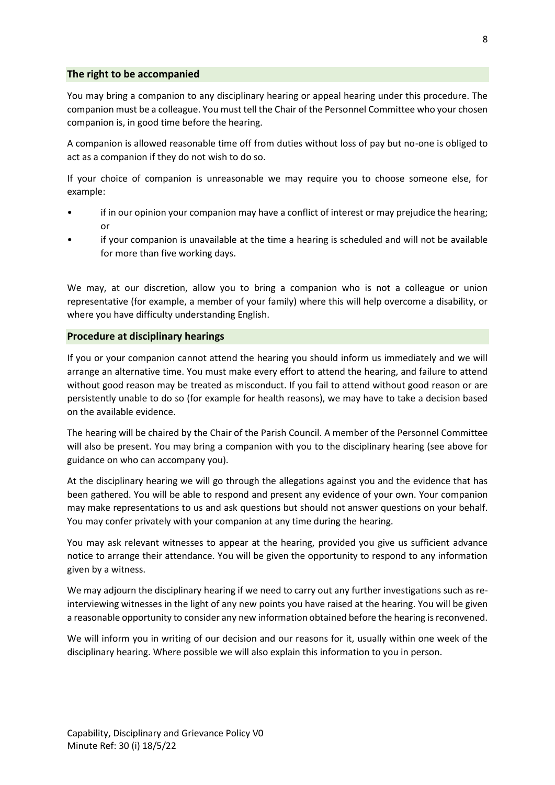#### **The right to be accompanied**

You may bring a companion to any disciplinary hearing or appeal hearing under this procedure. The companion must be a colleague. You must tell the Chair of the Personnel Committee who your chosen companion is, in good time before the hearing.

A companion is allowed reasonable time off from duties without loss of pay but no-one is obliged to act as a companion if they do not wish to do so.

If your choice of companion is unreasonable we may require you to choose someone else, for example:

- if in our opinion your companion may have a conflict of interest or may prejudice the hearing; or
- if your companion is unavailable at the time a hearing is scheduled and will not be available for more than five working days.

We may, at our discretion, allow you to bring a companion who is not a colleague or union representative (for example, a member of your family) where this will help overcome a disability, or where you have difficulty understanding English.

#### **Procedure at disciplinary hearings**

If you or your companion cannot attend the hearing you should inform us immediately and we will arrange an alternative time. You must make every effort to attend the hearing, and failure to attend without good reason may be treated as misconduct. If you fail to attend without good reason or are persistently unable to do so (for example for health reasons), we may have to take a decision based on the available evidence.

The hearing will be chaired by the Chair of the Parish Council. A member of the Personnel Committee will also be present. You may bring a companion with you to the disciplinary hearing (see above for guidance on who can accompany you).

At the disciplinary hearing we will go through the allegations against you and the evidence that has been gathered. You will be able to respond and present any evidence of your own. Your companion may make representations to us and ask questions but should not answer questions on your behalf. You may confer privately with your companion at any time during the hearing.

You may ask relevant witnesses to appear at the hearing, provided you give us sufficient advance notice to arrange their attendance. You will be given the opportunity to respond to any information given by a witness.

We may adjourn the disciplinary hearing if we need to carry out any further investigations such as reinterviewing witnesses in the light of any new points you have raised at the hearing. You will be given a reasonable opportunity to consider any new information obtained before the hearing is reconvened.

We will inform you in writing of our decision and our reasons for it, usually within one week of the disciplinary hearing. Where possible we will also explain this information to you in person.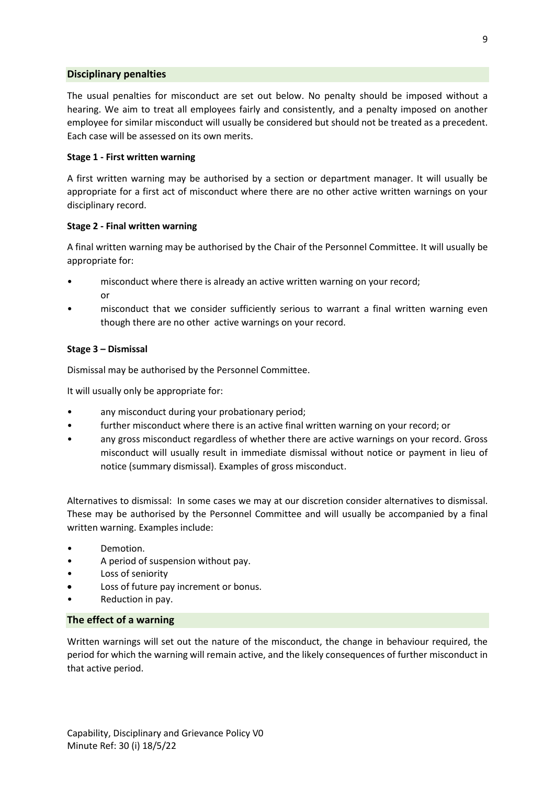#### **Disciplinary penalties**

The usual penalties for misconduct are set out below. No penalty should be imposed without a hearing. We aim to treat all employees fairly and consistently, and a penalty imposed on another employee for similar misconduct will usually be considered but should not be treated as a precedent. Each case will be assessed on its own merits.

#### **Stage 1 - First written warning**

A first written warning may be authorised by a section or department manager. It will usually be appropriate for a first act of misconduct where there are no other active written warnings on your disciplinary record.

### **Stage 2 - Final written warning**

A final written warning may be authorised by the Chair of the Personnel Committee. It will usually be appropriate for:

- misconduct where there is already an active written warning on your record; or
- misconduct that we consider sufficiently serious to warrant a final written warning even though there are no other active warnings on your record.

## **Stage 3 – Dismissal**

Dismissal may be authorised by the Personnel Committee.

It will usually only be appropriate for:

- any misconduct during your probationary period;
- further misconduct where there is an active final written warning on your record; or
- any gross misconduct regardless of whether there are active warnings on your record. Gross misconduct will usually result in immediate dismissal without notice or payment in lieu of notice (summary dismissal). Examples of gross misconduct.

Alternatives to dismissal: In some cases we may at our discretion consider alternatives to dismissal. These may be authorised by the Personnel Committee and will usually be accompanied by a final written warning. Examples include:

- Demotion.
- A period of suspension without pay.
- Loss of seniority
- Loss of future pay increment or bonus.
- Reduction in pay.

#### **The effect of a warning**

Written warnings will set out the nature of the misconduct, the change in behaviour required, the period for which the warning will remain active, and the likely consequences of further misconduct in that active period.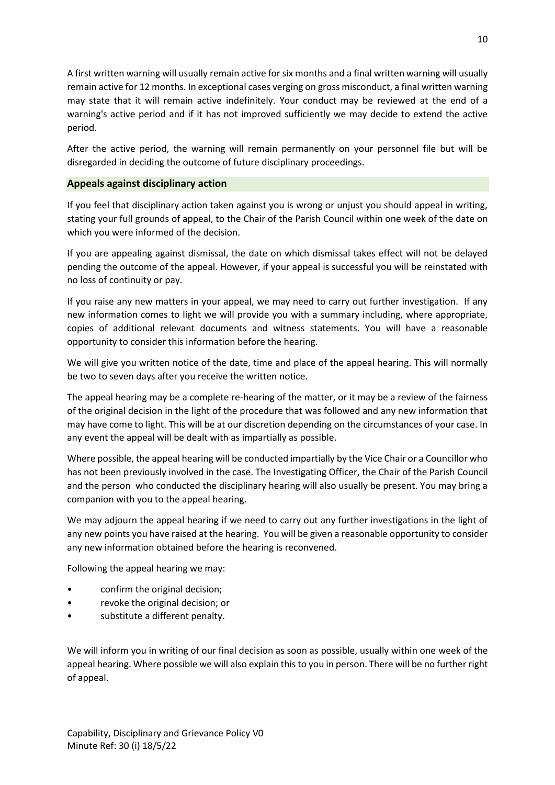A first written warning will usually remain active for six months and a final written warning will usually remain active for 12 months. In exceptional cases verging on gross misconduct, a final written warning may state that it will remain active indefinitely. Your conduct may be reviewed at the end of a warning's active period and if it has not improved sufficiently we may decide to extend the active period.

After the active period, the warning will remain permanently on your personnel file but will be disregarded in deciding the outcome of future disciplinary proceedings.

### **Appeals against disciplinary action**

If you feel that disciplinary action taken against you is wrong or unjust you should appeal in writing, stating your full grounds of appeal, to the Chair of the Parish Council within one week of the date on which you were informed of the decision.

If you are appealing against dismissal, the date on which dismissal takes effect will not be delayed pending the outcome of the appeal. However, if your appeal is successful you will be reinstated with no loss of continuity or pay.

If you raise any new matters in your appeal, we may need to carry out further investigation. If any new information comes to light we will provide you with a summary including, where appropriate, copies of additional relevant documents and witness statements. You will have a reasonable opportunity to consider this information before the hearing.

We will give you written notice of the date, time and place of the appeal hearing. This will normally be two to seven days after you receive the written notice.

The appeal hearing may be a complete re-hearing of the matter, or it may be a review of the fairness of the original decision in the light of the procedure that was followed and any new information that may have come to light. This will be at our discretion depending on the circumstances of your case. In any event the appeal will be dealt with as impartially as possible.

Where possible, the appeal hearing will be conducted impartially by the Vice Chair or a Councillor who has not been previously involved in the case. The Investigating Officer, the Chair of the Parish Council and the person who conducted the disciplinary hearing will also usually be present. You may bring a companion with you to the appeal hearing.

We may adjourn the appeal hearing if we need to carry out any further investigations in the light of any new points you have raised at the hearing. You will be given a reasonable opportunity to consider any new information obtained before the hearing is reconvened.

Following the appeal hearing we may:

- confirm the original decision;
- revoke the original decision; or
- substitute a different penalty.

We will inform you in writing of our final decision as soon as possible, usually within one week of the appeal hearing. Where possible we will also explain this to you in person. There will be no further right of appeal.